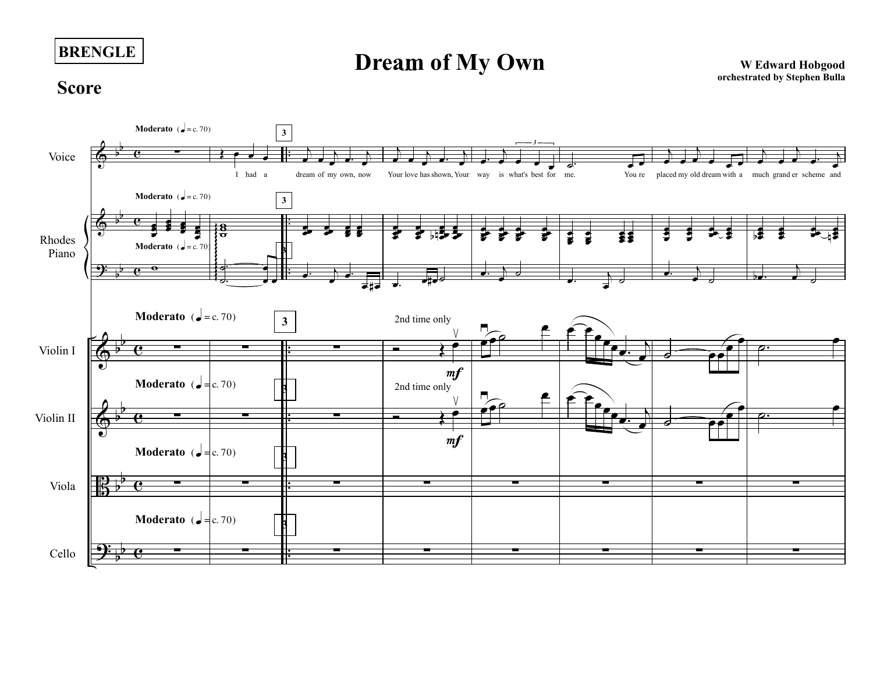**BRENGLE**

**Dream of My Own**<br>
W Edward Hobgood
<sub>orchestrated by Stephen Bulla</sub>

## **Score**

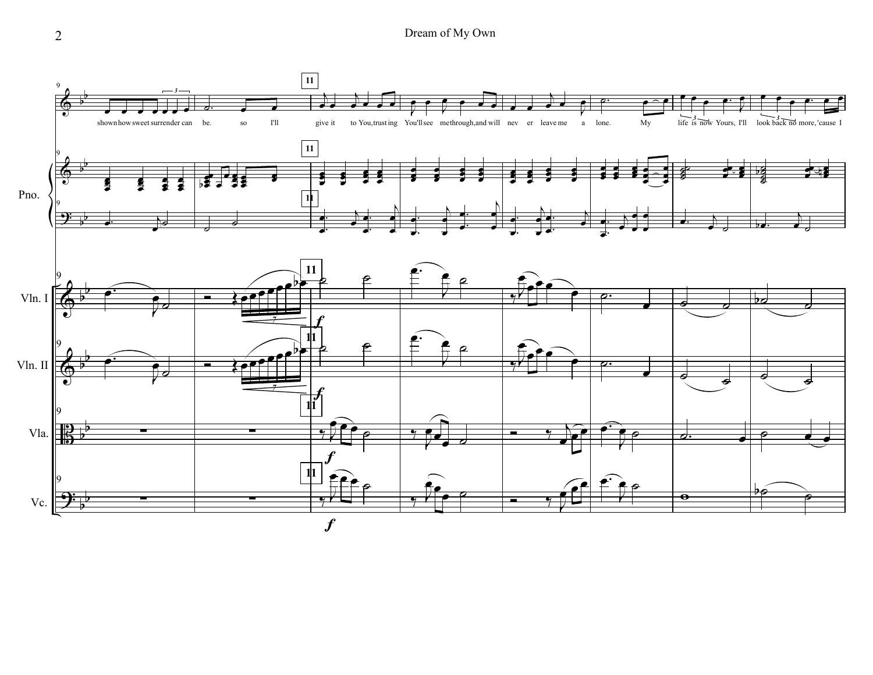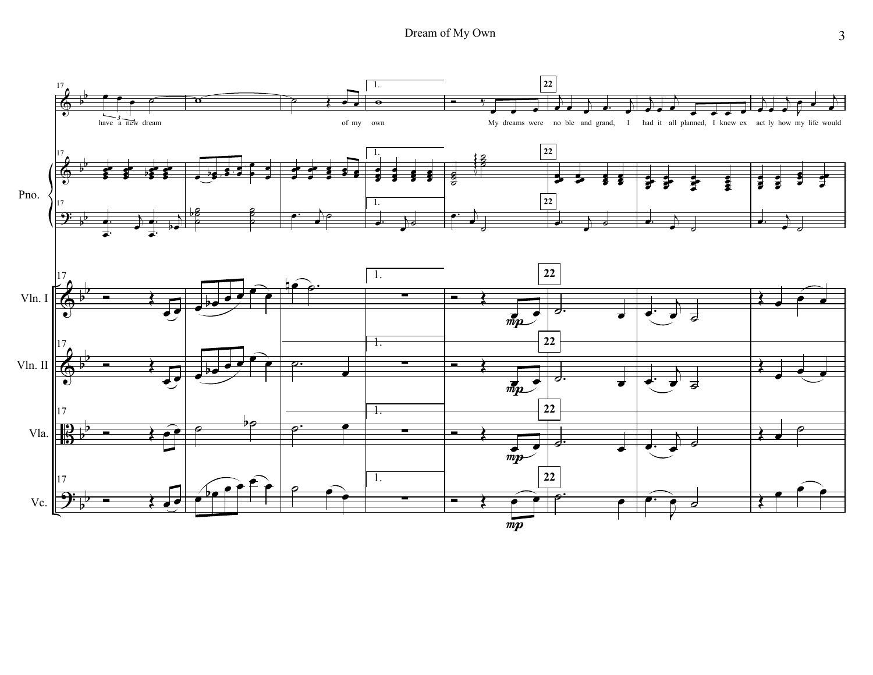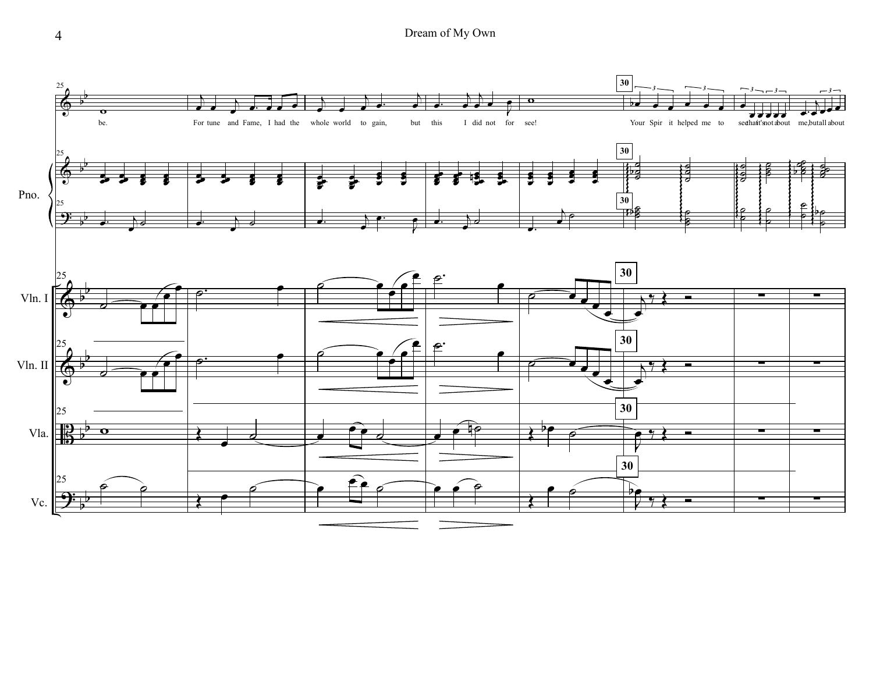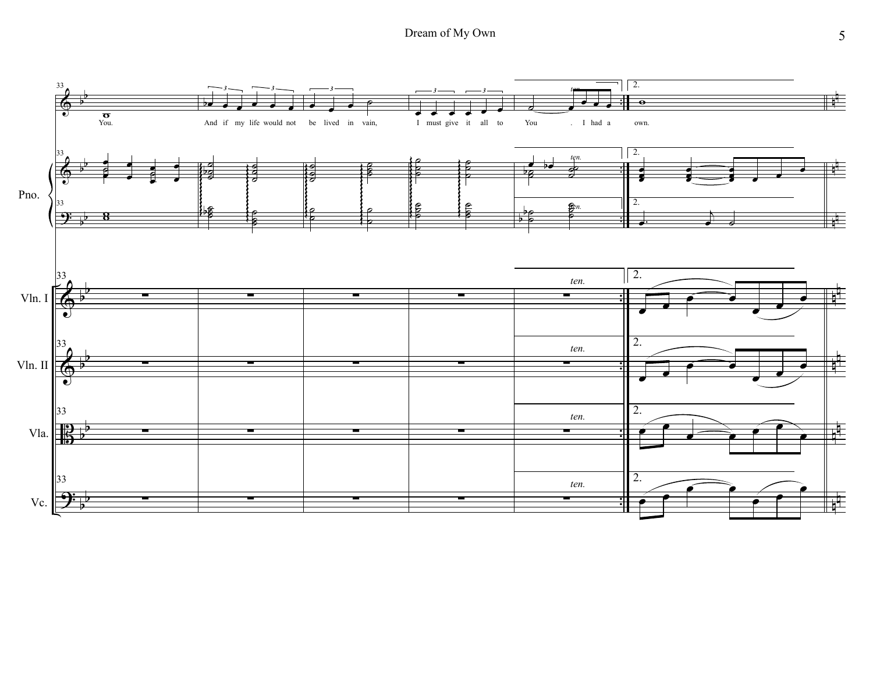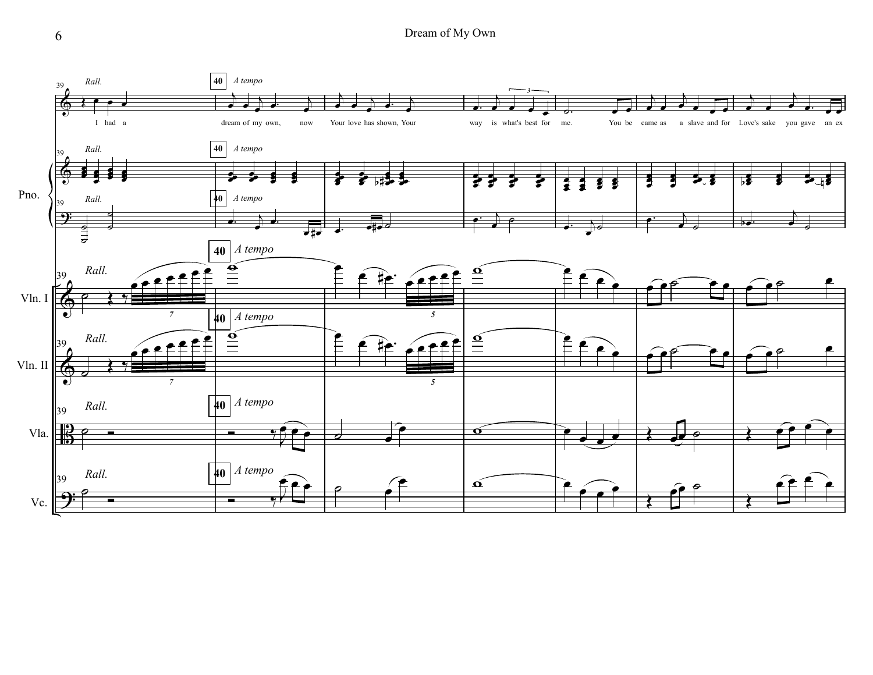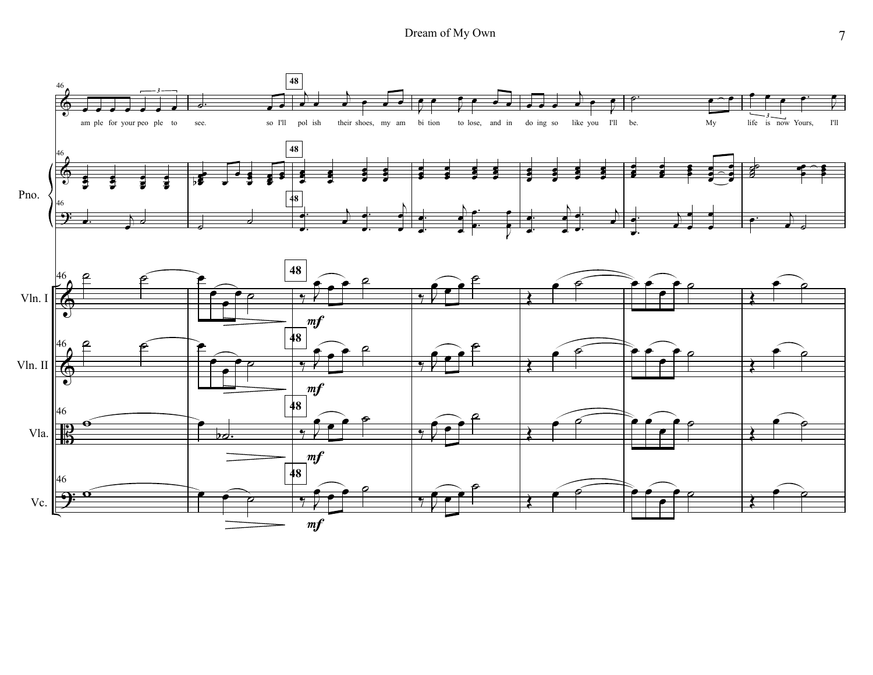